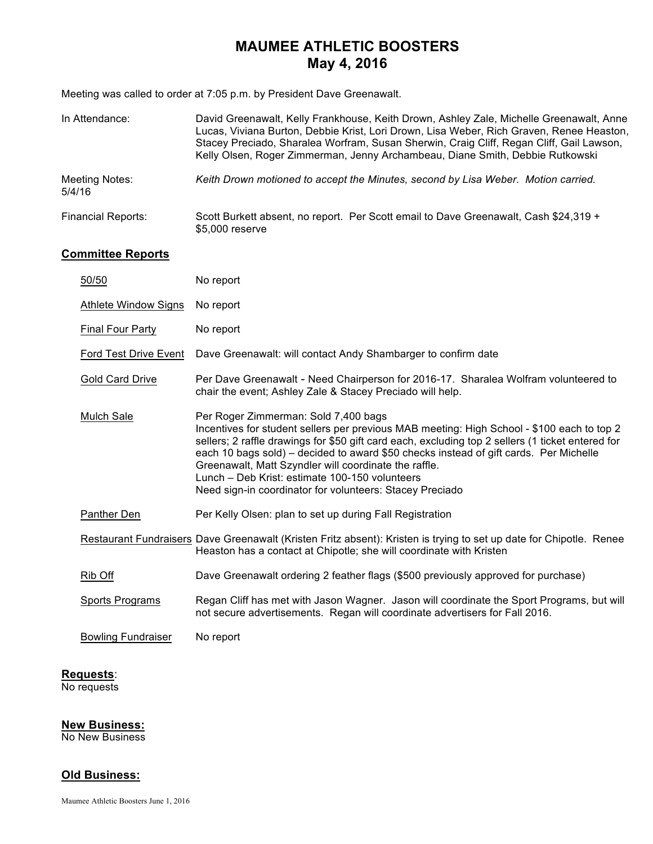## **MAUMEE ATHLETIC BOOSTERS May 4, 2016**

Meeting was called to order at 7:05 p.m. by President Dave Greenawalt.

| In Attendance:            | David Greenawalt, Kelly Frankhouse, Keith Drown, Ashley Zale, Michelle Greenawalt, Anne<br>Lucas, Viviana Burton, Debbie Krist, Lori Drown, Lisa Weber, Rich Graven, Renee Heaston,<br>Stacey Preciado, Sharalea Worfram, Susan Sherwin, Craig Cliff, Regan Cliff, Gail Lawson,<br>Kelly Olsen, Roger Zimmerman, Jenny Archambeau, Diane Smith, Debbie Rutkowski |
|---------------------------|------------------------------------------------------------------------------------------------------------------------------------------------------------------------------------------------------------------------------------------------------------------------------------------------------------------------------------------------------------------|
| Meeting Notes:<br>5/4/16  | Keith Drown motioned to accept the Minutes, second by Lisa Weber. Motion carried.                                                                                                                                                                                                                                                                                |
| <b>Financial Reports:</b> | Scott Burkett absent, no report. Per Scott email to Dave Greenawalt, Cash \$24,319 +<br>\$5,000 reserve                                                                                                                                                                                                                                                          |

### **Committee Reports**

| 50/50                        | No report                                                                                                                                                                                                                                                                                                                                                                                                                                                                                               |
|------------------------------|---------------------------------------------------------------------------------------------------------------------------------------------------------------------------------------------------------------------------------------------------------------------------------------------------------------------------------------------------------------------------------------------------------------------------------------------------------------------------------------------------------|
| <b>Athlete Window Signs</b>  | No report                                                                                                                                                                                                                                                                                                                                                                                                                                                                                               |
| <b>Final Four Party</b>      | No report                                                                                                                                                                                                                                                                                                                                                                                                                                                                                               |
| <b>Ford Test Drive Event</b> | Dave Greenawalt: will contact Andy Shambarger to confirm date                                                                                                                                                                                                                                                                                                                                                                                                                                           |
| Gold Card Drive              | Per Dave Greenawalt - Need Chairperson for 2016-17. Sharalea Wolfram volunteered to<br>chair the event; Ashley Zale & Stacey Preciado will help.                                                                                                                                                                                                                                                                                                                                                        |
| <b>Mulch Sale</b>            | Per Roger Zimmerman: Sold 7,400 bags<br>Incentives for student sellers per previous MAB meeting: High School - \$100 each to top 2<br>sellers; 2 raffle drawings for \$50 gift card each, excluding top 2 sellers (1 ticket entered for<br>each 10 bags sold) – decided to award \$50 checks instead of gift cards. Per Michelle<br>Greenawalt, Matt Szyndler will coordinate the raffle.<br>Lunch - Deb Krist: estimate 100-150 volunteers<br>Need sign-in coordinator for volunteers: Stacey Preciado |
| <b>Panther Den</b>           | Per Kelly Olsen: plan to set up during Fall Registration                                                                                                                                                                                                                                                                                                                                                                                                                                                |
|                              | Restaurant Fundraisers Dave Greenawalt (Kristen Fritz absent): Kristen is trying to set up date for Chipotle. Renee<br>Heaston has a contact at Chipotle; she will coordinate with Kristen                                                                                                                                                                                                                                                                                                              |
| Rib Off                      | Dave Greenawalt ordering 2 feather flags (\$500 previously approved for purchase)                                                                                                                                                                                                                                                                                                                                                                                                                       |
| <b>Sports Programs</b>       | Regan Cliff has met with Jason Wagner. Jason will coordinate the Sport Programs, but will<br>not secure advertisements. Regan will coordinate advertisers for Fall 2016.                                                                                                                                                                                                                                                                                                                                |
| <b>Bowling Fundraiser</b>    | No report                                                                                                                                                                                                                                                                                                                                                                                                                                                                                               |

# **Requests**:

No requests

### **New Business:**

No New Business

### **Old Business:**

Maumee Athletic Boosters June 1, 2016